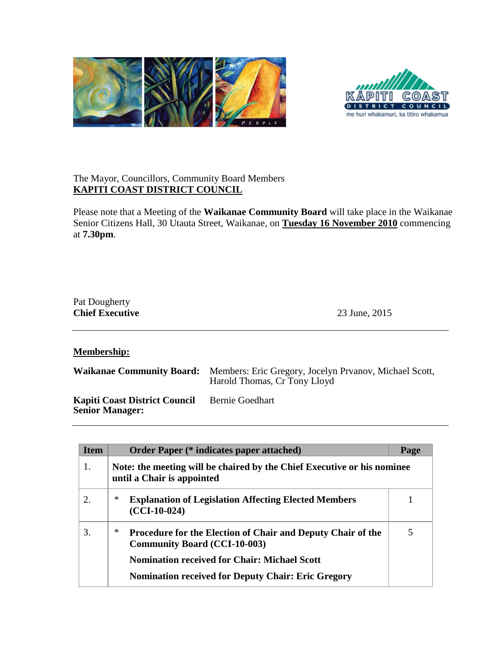



## The Mayor, Councillors, Community Board Members **KAPITI COAST DISTRICT COUNCIL**

Please note that a Meeting of the **Waikanae Community Board** will take place in the Waikanae Senior Citizens Hall, 30 Utauta Street, Waikanae, on **Tuesday 16 November 2010** commencing at **7.30pm**.

| Pat Dougherty<br><b>Chief Executive</b> | 23 June, 2015 |  |
|-----------------------------------------|---------------|--|
|                                         |               |  |

**Membership:**

**Waikanae Community Board:** Members: Eric Gregory, Jocelyn Prvanov, Michael Scott, Harold Thomas, Cr Tony Lloyd

**Kapiti Coast District Council Senior Manager:** Bernie Goedhart

| <b>Item</b> | <b>Order Paper (* indicates paper attached)</b>                                                                | Page |
|-------------|----------------------------------------------------------------------------------------------------------------|------|
| 1.          | Note: the meeting will be chaired by the Chief Executive or his nominee<br>until a Chair is appointed          |      |
| 2.          | $\ast$<br><b>Explanation of Legislation Affecting Elected Members</b><br>$(CCI-10-024)$                        | 1    |
| 3.          | ∗<br><b>Procedure for the Election of Chair and Deputy Chair of the</b><br><b>Community Board (CCI-10-003)</b> | 5    |
|             | <b>Nomination received for Chair: Michael Scott</b>                                                            |      |
|             | <b>Nomination received for Deputy Chair: Eric Gregory</b>                                                      |      |